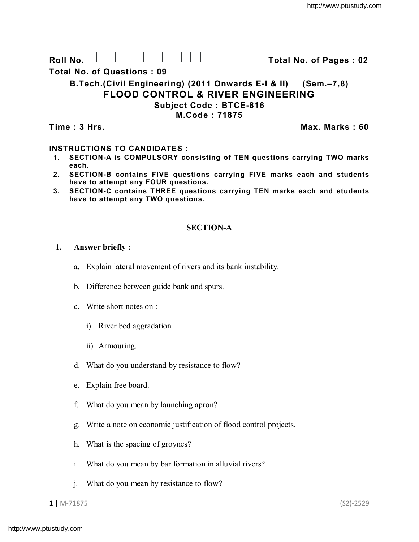Roll No. <u>And I And I Alexander Hermitide Colle</u> College Total No. of Pages : 02

**Total No. of Questions : 09**

# **B.Tech.(Civil Engineering) (2011 Onwards E-I & II) (Sem.–7,8) FLOOD CONTROL & RIVER ENGINEERING Subject Code : BTCE-816**

**M.Code : 71875**

**Time : 3 Hrs. Max. Marks : 60**

## **INSTRUCTIONS TO CANDIDATES :**

- **1. SECTION-A is COMPULSORY consisting of TEN questions carrying TWO marks each.**
- **2. SECTION-B contains FIVE questions carrying FIVE marks each and students have to attempt any FOUR questions.**
- **3. SECTION-C contains THREE questions carrying TEN marks each and students have to attempt any TWO questions.**

## **SECTION-A**

- **1. Answer briefly :**
	- a. Explain lateral movement of rivers and its bank instability.
	- b. Difference between guide bank and spurs.
	- c. Write short notes on :
		- i) River bed aggradation
		- ii) Armouring.
	- d. What do you understand by resistance to flow?
	- e. Explain free board.
	- f. What do you mean by launching apron?
	- g. Write a note on economic justification of flood control projects.
	- h. What is the spacing of groynes?
	- i. What do you mean by bar formation in alluvial rivers?
	- j. What do you mean by resistance to flow?

**1 |** M-71875 (S2)-2529